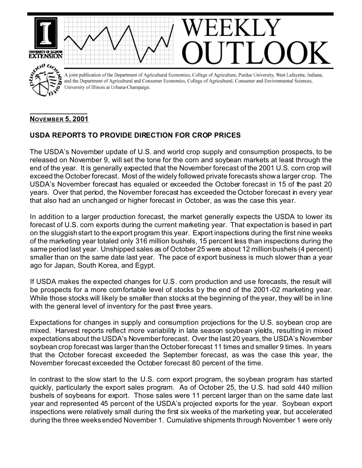

## **NOVEMBER 5, 2001**

## **USDA REPORTS TO PROVIDE DIRECTION FOR CROP PRICES**

The USDA's November update of U.S. and world crop supply and consumption prospects, to be released on November 9, will set the tone for the corn and soybean markets at least through the end of the year. It is generally expected that the November forecast of the 2001 U.S. corn crop will exceed the October forecast. Most of the widely followed private forecasts show a larger crop. The USDA's November forecast has equaled or exceeded the October forecast in 15 of the past 20 years. Over that period, the November forecast has exceeded the October forecast in every year that also had an unchanged or higher forecast in October, as was the case this year.

In addition to a larger production forecast, the market generally expects the USDA to lower its forecast of U.S. corn exports during the current marketing year. That expectation is based in part on the sluggish start to the export program this year. Export inspections during the first nine weeks of the marketing year totaled only 316 million bushels, 15 percent less than inspections during the same period last year. Unshipped sales as of October 25 were about 12 million bushels (4 percent) smaller than on the same date last year. The pace of export business is much slower than a year ago for Japan, South Korea, and Egypt.

If USDA makes the expected changes for U.S. corn production and use forecasts, the result will be prospects for a more comfortable level of stocks by the end of the 2001-02 marketing year. While those stocks will likely be smaller than stocks at the beginning of the year, they will be in line with the general level of inventory for the past three years.

Expectations for changes in supply and consumption projections for the U.S. soybean crop are mixed. Harvest reports reflect more variability in late season soybean yields, resulting in mixed expectations about the USDA's November forecast. Over the last 20 years, the USDA's November soybean crop forecast was larger than the October forecast 11 times and smaller 9 times. In years that the October forecast exceeded the September forecast, as was the case this year, the November forecast exceeded the October forecast 80 percent of the time.

In contrast to the slow start to the U.S. corn export program, the soybean program has started quickly, particularly the export sales program. As of October 25, the U.S. had sold 440 million bushels of soybeans for export. Those sales were 11 percent larger than on the same date last year and represented 45 percent of the USDA's projected exports for the year. Soybean export inspections were relatively small during the first six weeks of the marketing year, but accelerated during the three weeks ended November 1. Cumulative shipments through November 1 were only